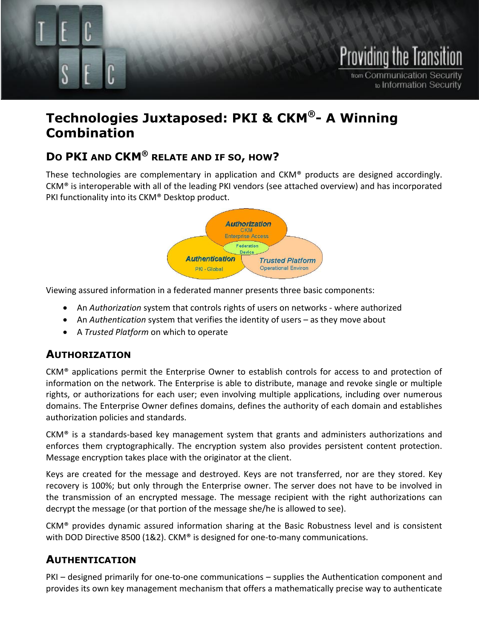

# **Technologies Juxtaposed: PKI & CKM®- A Winning Combination**

## **DO PKI AND CKM® RELATE AND IF SO, HOW?**

These technologies are complementary in application and CKM® products are designed accordingly. CKM® is interoperable with all of the leading PKI vendors (see attached overview) and has incorporated PKI functionality into its CKM® Desktop product.



Viewing assured information in a federated manner presents three basic components:

- An *Authorization* system that controls rights of users on networks where authorized
- An *Authentication* system that verifies the identity of users as they move about
- A *Trusted Platform* on which to operate

### **AUTHORIZATION**

CKM® applications permit the Enterprise Owner to establish controls for access to and protection of information on the network. The Enterprise is able to distribute, manage and revoke single or multiple rights, or authorizations for each user; even involving multiple applications, including over numerous domains. The Enterprise Owner defines domains, defines the authority of each domain and establishes authorization policies and standards.

CKM® is a standards-based key management system that grants and administers authorizations and enforces them cryptographically. The encryption system also provides persistent content protection. Message encryption takes place with the originator at the client.

Keys are created for the message and destroyed. Keys are not transferred, nor are they stored. Key recovery is 100%; but only through the Enterprise owner. The server does not have to be involved in the transmission of an encrypted message. The message recipient with the right authorizations can decrypt the message (or that portion of the message she/he is allowed to see).

CKM® provides dynamic assured information sharing at the Basic Robustness level and is consistent with DOD Directive 8500 (1&2). CKM® is designed for one-to-many communications.

## **AUTHENTICATION**

PKI – designed primarily for one-to-one communications – supplies the Authentication component and provides its own key management mechanism that offers a mathematically precise way to authenticate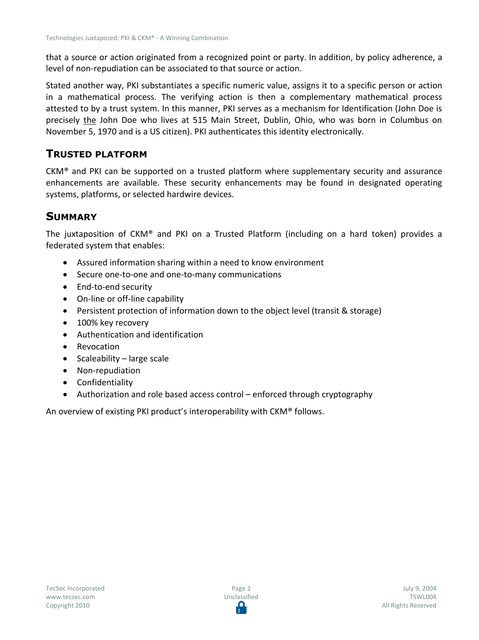that a source or action originated from a recognized point or party. In addition, by policy adherence, a level of non-repudiation can be associated to that source or action.

Stated another way, PKI substantiates a specific numeric value, assigns it to a specific person or action in a mathematical process. The verifying action is then a complementary mathematical process attested to by a trust system. In this manner, PKI serves as a mechanism for Identification (John Doe is precisely the John Doe who lives at 515 Main Street, Dublin, Ohio, who was born in Columbus on November 5, 1970 and is a US citizen). PKI authenticates this identity electronically.

#### **TRUSTED PLATFORM**

CKM® and PKI can be supported on a trusted platform where supplementary security and assurance enhancements are available. These security enhancements may be found in designated operating systems, platforms, or selected hardwire devices.

#### **SUMMARY**

The juxtaposition of CKM® and PKI on a Trusted Platform (including on a hard token) provides a federated system that enables:

- Assured information sharing within a need to know environment
- Secure one-to-one and one-to-many communications
- End-to-end security
- On-line or off-line capability
- Persistent protection of information down to the object level (transit & storage)
- 100% key recovery
- Authentication and identification
- Revocation
- Scaleability large scale
- Non-repudiation
- Confidentiality
- Authorization and role based access control enforced through cryptography

An overview of existing PKI product's interoperability with CKM® follows.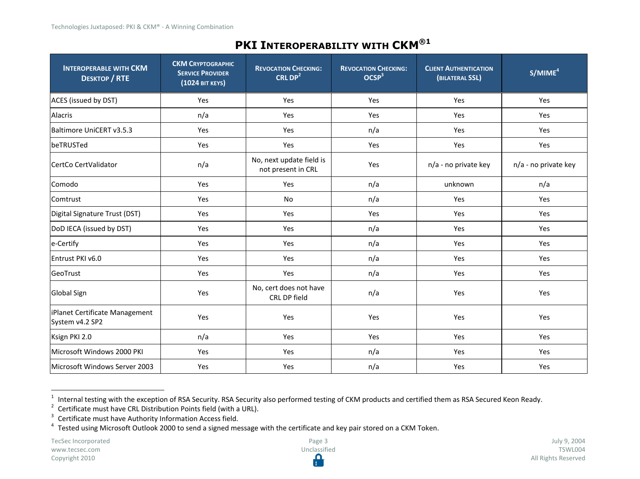## **PKI INTEROPERABILITY WITH CKM®1**

| <b>INTEROPERABLE WITH CKM</b><br><b>DESKTOP / RTE</b> | <b>CKM CRYPTOGRAPHIC</b><br><b>SERVICE PROVIDER</b><br>(1024 BIT KEYS) | <b>REVOCATION CHECKING:</b><br>CRL $DP2$       | <b>REVOCATION CHECKING:</b><br>OCSP <sup>3</sup> | <b>CLIENT AUTHENTICATION</b><br>(BILATERAL SSL) | S/MIME <sup>4</sup>  |
|-------------------------------------------------------|------------------------------------------------------------------------|------------------------------------------------|--------------------------------------------------|-------------------------------------------------|----------------------|
| ACES (issued by DST)                                  | Yes                                                                    | Yes                                            | Yes                                              | Yes                                             | Yes                  |
| Alacris                                               | n/a                                                                    | Yes                                            | Yes                                              | Yes                                             | Yes                  |
| Baltimore UniCERT v3.5.3                              | Yes                                                                    | Yes                                            | n/a                                              | Yes                                             | Yes                  |
| beTRUSTed                                             | Yes                                                                    | Yes                                            | Yes                                              | Yes                                             | Yes                  |
| CertCo CertValidator                                  | n/a                                                                    | No, next update field is<br>not present in CRL | Yes                                              | n/a - no private key                            | n/a - no private key |
| Comodo                                                | Yes                                                                    | Yes                                            | n/a                                              | unknown                                         | n/a                  |
| Comtrust                                              | Yes                                                                    | No                                             | n/a                                              | Yes                                             | Yes                  |
| Digital Signature Trust (DST)                         | Yes                                                                    | Yes                                            | Yes                                              | Yes                                             | Yes                  |
| DoD IECA (issued by DST)                              | Yes                                                                    | Yes                                            | n/a                                              | Yes                                             | Yes                  |
| e-Certify                                             | Yes                                                                    | Yes                                            | n/a                                              | Yes                                             | Yes                  |
| Entrust PKI v6.0                                      | Yes                                                                    | Yes                                            | n/a                                              | Yes                                             | Yes                  |
| GeoTrust                                              | Yes                                                                    | Yes                                            | n/a                                              | Yes                                             | Yes                  |
| <b>Global Sign</b>                                    | Yes                                                                    | No, cert does not have<br>CRL DP field         | n/a                                              | Yes                                             | Yes                  |
| iPlanet Certificate Management<br>System v4.2 SP2     | Yes                                                                    | Yes                                            | Yes                                              | Yes                                             | Yes                  |
| Ksign PKI 2.0                                         | n/a                                                                    | Yes                                            | Yes                                              | Yes                                             | Yes                  |
| Microsoft Windows 2000 PKI                            | Yes                                                                    | Yes                                            | n/a                                              | Yes                                             | Yes                  |
| Microsoft Windows Server 2003                         | Yes                                                                    | Yes                                            | n/a                                              | Yes                                             | Yes                  |

<sup>1</sup> Internal testing with the exception of RSA Security. RSA Security also performed testing of CKM products and certified them as RSA Secured Keon Ready.<br><sup>2</sup> Certificate must have CRL Distribution Points field (with a URL).

<sup>&</sup>lt;sup>3</sup> Certificate must have Authority Information Access field.

<sup>&</sup>lt;sup>4</sup> Tested using Microsoft Outlook 2000 to send a signed message with the certificate and key pair stored on a CKM Token.